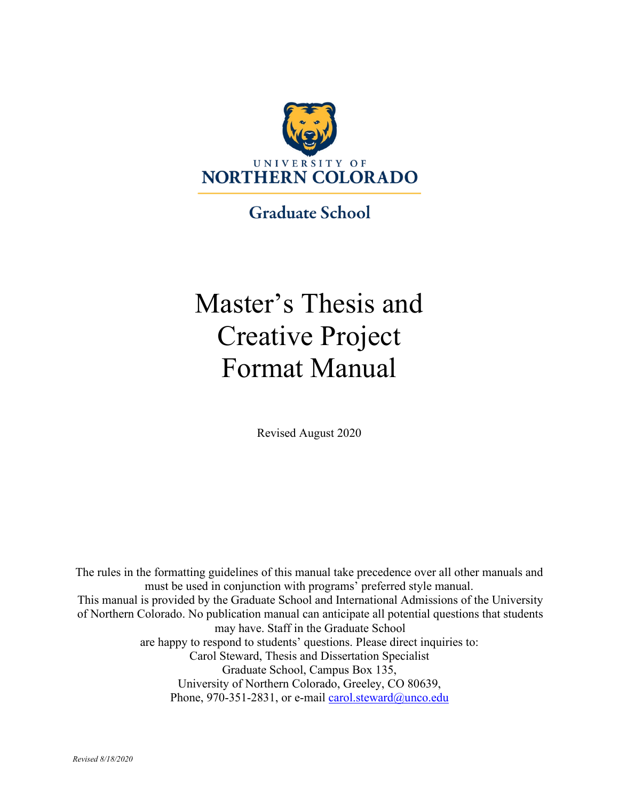

**Graduate School** 

# Master's Thesis and Creative Project Format Manual

Revised August 2020

The rules in the formatting guidelines of this manual take precedence over all other manuals and must be used in conjunction with programs' preferred style manual. This manual is provided by the Graduate School and International Admissions of the University of Northern Colorado. No publication manual can anticipate all potential questions that students may have. Staff in the Graduate School are happy to respond to students' questions. Please direct inquiries to: Carol Steward, Thesis and Dissertation Specialist Graduate School, Campus Box 135, University of Northern Colorado, Greeley, CO 80639, Phone, 970-351-2831, or e-mail [carol.steward@unco.edu](mailto:carol.steward@unco.edu)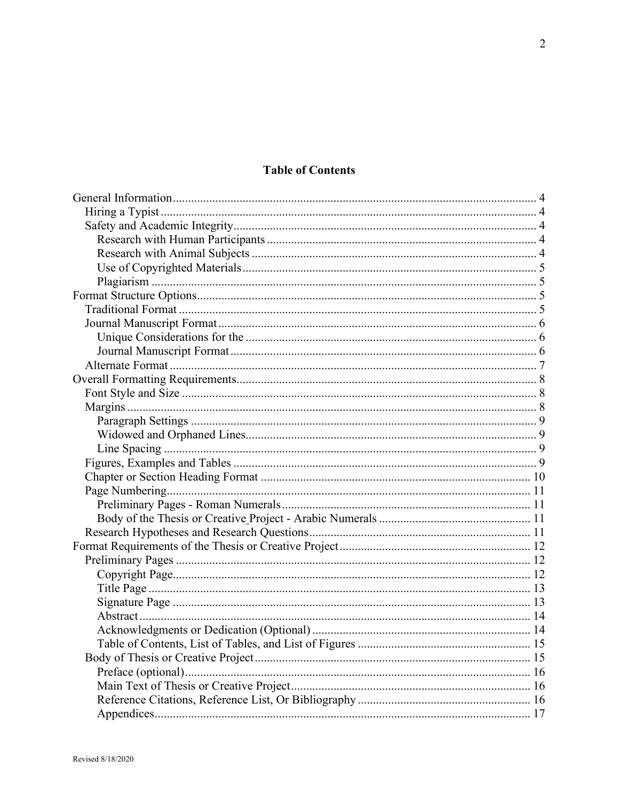# **Table of Contents**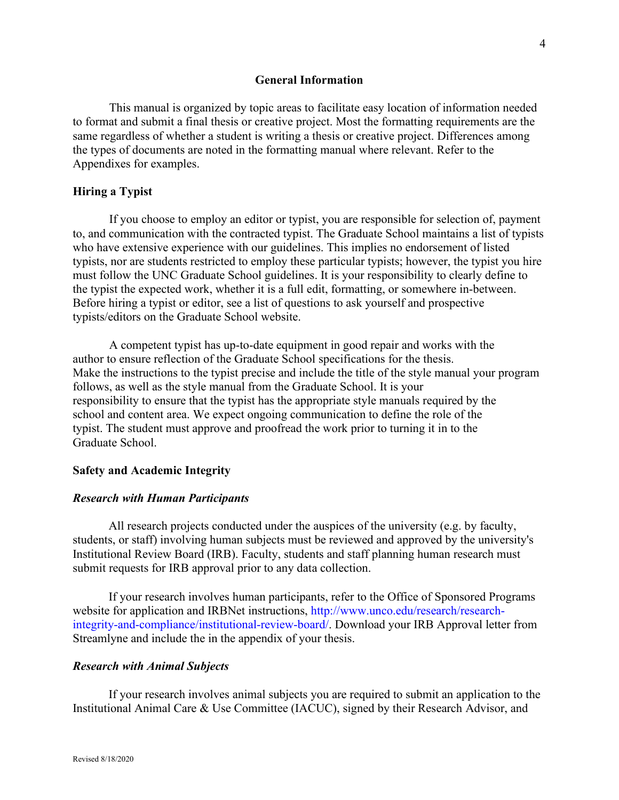#### **General Information**

<span id="page-3-0"></span>This manual is organized by topic areas to facilitate easy location of information needed to format and submit a final thesis or creative project. Most the formatting requirements are the same regardless of whether a student is writing a thesis or creative project. Differences among the types of documents are noted in the formatting manual where relevant. Refer to the Appendixes for examples.

#### <span id="page-3-1"></span>**Hiring a Typist**

If you choose to employ an editor or typist, you are responsible for selection of, payment to, and communication with the contracted typist. The Graduate School maintains a list of typists who have extensive experience with our guidelines. This implies no endorsement of listed typists, nor are students restricted to employ these particular typists; however, the typist you hire must follow the UNC Graduate School guidelines. It is your responsibility to clearly define to the typist the expected work, whether it is a full edit, formatting, or somewhere in-between. Before hiring a typist or editor, see a list of questions to ask yourself and prospective typists/editors on the Graduate School website.

A competent typist has up-to-date equipment in good repair and works with the author to ensure reflection of the Graduate School specifications for the thesis. Make the instructions to the typist precise and include the title of the style manual your program follows, as well as the style manual from the Graduate School. It is your responsibility to ensure that the typist has the appropriate style manuals required by the school and content area. We expect ongoing communication to define the role of the typist. The student must approve and proofread the work prior to turning it in to the Graduate School.

#### <span id="page-3-2"></span>**Safety and Academic Integrity**

#### <span id="page-3-3"></span>*Research with Human Participants*

All research projects conducted under the auspices of the university (e.g. by faculty, students, or staff) involving human subjects must be reviewed and approved by the university's Institutional Review Board (IRB). Faculty, students and staff planning human research must submit requests for IRB approval prior to any data collection.

If your research involves human participants, refer to the Office of Sponsored Programs website for application and IRBNet instructions, http://www.unco.edu/research/researchintegrity-and-compliance/institutional-review-board/. Download your IRB Approval letter from Streamlyne and include the in the appendix of your thesis.

#### <span id="page-3-4"></span>*Research with Animal Subjects*

If your research involves animal subjects you are required to submit an application to the Institutional Animal Care & Use Committee (IACUC), signed by their Research Advisor, and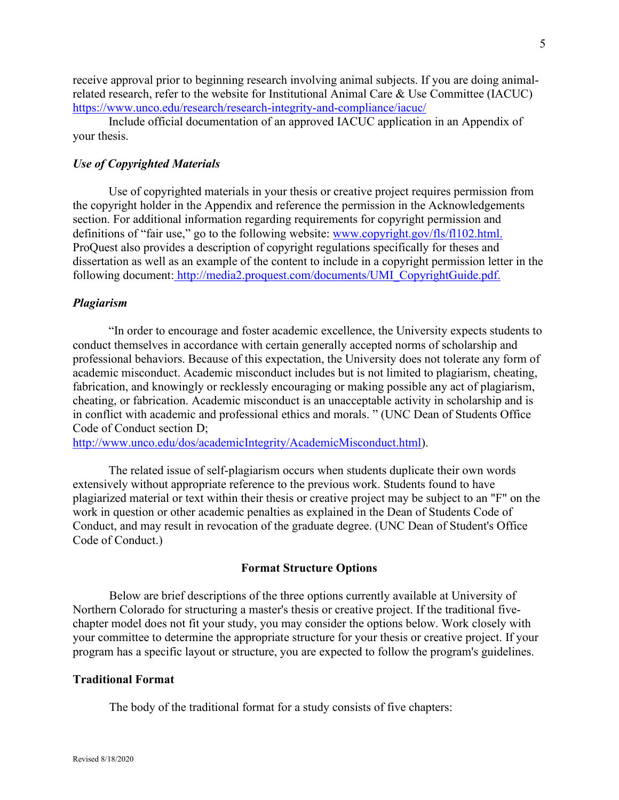receive approval prior to beginning research involving animal subjects. If you are doing animalrelated research, refer to the website for Institutional Animal Care & Use Committee (IACUC) <https://www.unco.edu/research/research-integrity-and-compliance/iacuc/>

Include official documentation of an approved IACUC application in an Appendix of your thesis.

#### <span id="page-4-0"></span>*Use of Copyrighted Materials*

Use of copyrighted materials in your thesis or creative project requires permission from the copyright holder in the Appendix and reference the permission in the Acknowledgements section. For additional information regarding requirements for copyright permission and definitions of "fair use," go to the following website: [www.copyright.gov/fls/fl102.html.](http://www.copyright.gov/fls/fl102.html) ProQuest also provides a description of copyright regulations specifically for theses and dissertation as well as an example of the content to include in a copyright permission letter in the following document: [http://media2.proquest.com/documents/UMI\\_CopyrightGuide.pdf.](http://media2.proquest.com/documents/UMI_CopyrightGuide.pdf)

#### <span id="page-4-1"></span>*Plagiarism*

"In order to encourage and foster academic excellence, the University expects students to conduct themselves in accordance with certain generally accepted norms of scholarship and professional behaviors. Because of this expectation, the University does not tolerate any form of academic misconduct. Academic misconduct includes but is not limited to plagiarism, cheating, fabrication, and knowingly or recklessly encouraging or making possible any act of plagiarism, cheating, or fabrication. Academic misconduct is an unacceptable activity in scholarship and is in conflict with academic and professional ethics and morals. " (UNC Dean of Students Office Code of Conduct section D;

[http://www.unco.edu/dos/academicIntegrity/AcademicMisconduct.html\)](http://www.unco.edu/dos/academicIntegrity/AcademicMisconduct.html).

The related issue of self-plagiarism occurs when students duplicate their own words extensively without appropriate reference to the previous work. Students found to have plagiarized material or text within their thesis or creative project may be subject to an "F" on the work in question or other academic penalties as explained in the Dean of Students Code of Conduct, and may result in revocation of the graduate degree. (UNC Dean of Student's Office Code of Conduct.)

#### **Format Structure Options**

<span id="page-4-2"></span>Below are brief descriptions of the three options currently available at University of Northern Colorado for structuring a master's thesis or creative project. If the traditional fivechapter model does not fit your study, you may consider the options below. Work closely with your committee to determine the appropriate structure for your thesis or creative project. If your program has a specific layout or structure, you are expected to follow the program's guidelines.

#### <span id="page-4-3"></span>**Traditional Format**

The body of the traditional format for a study consists of five chapters: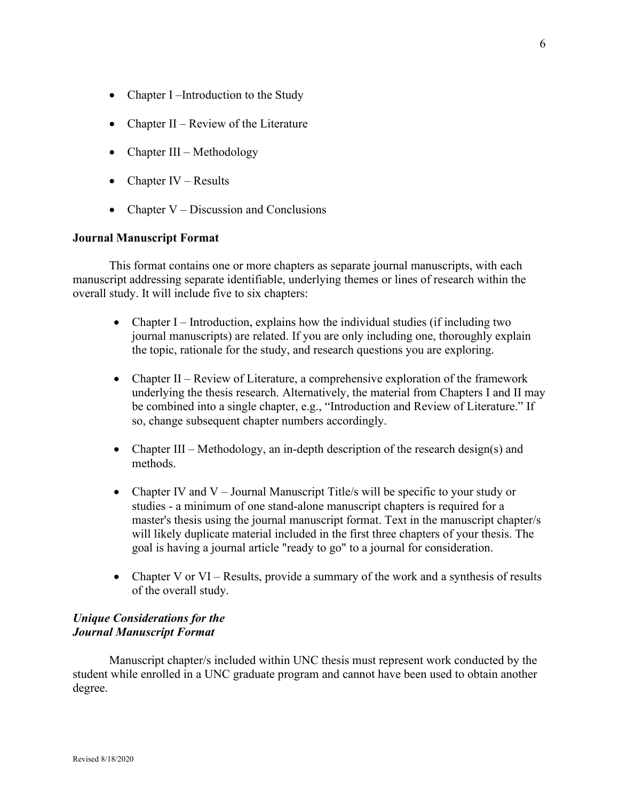- Chapter I –Introduction to the Study
- Chapter II Review of the Literature
- Chapter III Methodology
- Chapter IV Results
- Chapter  $V Disclusion$  and Conclusions

#### <span id="page-5-0"></span>**Journal Manuscript Format**

This format contains one or more chapters as separate journal manuscripts, with each manuscript addressing separate identifiable, underlying themes or lines of research within the overall study. It will include five to six chapters:

- Chapter I Introduction, explains how the individual studies (if including two journal manuscripts) are related. If you are only including one, thoroughly explain the topic, rationale for the study, and research questions you are exploring.
- Chapter II Review of Literature, a comprehensive exploration of the framework underlying the thesis research. Alternatively, the material from Chapters I and II may be combined into a single chapter, e.g., "Introduction and Review of Literature." If so, change subsequent chapter numbers accordingly.
- Chapter III Methodology, an in-depth description of the research design(s) and methods.
- Chapter IV and V Journal Manuscript Title/s will be specific to your study or studies - a minimum of one stand-alone manuscript chapters is required for a master's thesis using the journal manuscript format. Text in the manuscript chapter/s will likely duplicate material included in the first three chapters of your thesis. The goal is having a journal article "ready to go" to a journal for consideration.
- Chapter V or VI Results, provide a summary of the work and a synthesis of results of the overall study.

# <span id="page-5-2"></span><span id="page-5-1"></span>*Unique Considerations for the Journal Manuscript Format*

Manuscript chapter/s included within UNC thesis must represent work conducted by the student while enrolled in a UNC graduate program and cannot have been used to obtain another degree.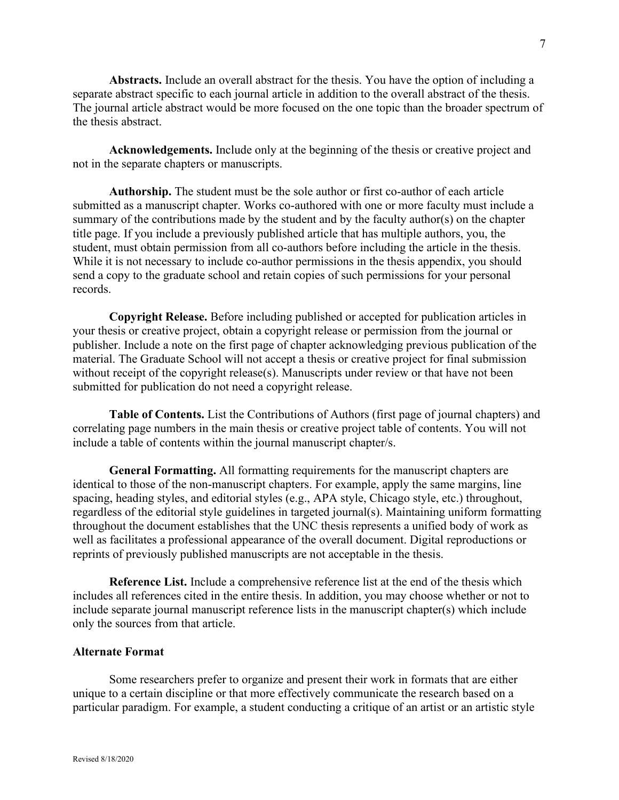**Abstracts.** Include an overall abstract for the thesis. You have the option of including a separate abstract specific to each journal article in addition to the overall abstract of the thesis. The journal article abstract would be more focused on the one topic than the broader spectrum of the thesis abstract.

**Acknowledgements.** Include only at the beginning of the thesis or creative project and not in the separate chapters or manuscripts.

**Authorship.** The student must be the sole author or first co-author of each article submitted as a manuscript chapter. Works co-authored with one or more faculty must include a summary of the contributions made by the student and by the faculty author(s) on the chapter title page. If you include a previously published article that has multiple authors, you, the student, must obtain permission from all co-authors before including the article in the thesis. While it is not necessary to include co-author permissions in the thesis appendix, you should send a copy to the graduate school and retain copies of such permissions for your personal records.

**Copyright Release.** Before including published or accepted for publication articles in your thesis or creative project, obtain a copyright release or permission from the journal or publisher. Include a note on the first page of chapter acknowledging previous publication of the material. The Graduate School will not accept a thesis or creative project for final submission without receipt of the copyright release(s). Manuscripts under review or that have not been submitted for publication do not need a copyright release.

**Table of Contents.** List the Contributions of Authors (first page of journal chapters) and correlating page numbers in the main thesis or creative project table of contents. You will not include a table of contents within the journal manuscript chapter/s.

**General Formatting.** All formatting requirements for the manuscript chapters are identical to those of the non-manuscript chapters. For example, apply the same margins, line spacing, heading styles, and editorial styles (e.g., APA style, Chicago style, etc.) throughout, regardless of the editorial style guidelines in targeted journal(s). Maintaining uniform formatting throughout the document establishes that the UNC thesis represents a unified body of work as well as facilitates a professional appearance of the overall document. Digital reproductions or reprints of previously published manuscripts are not acceptable in the thesis.

**Reference List.** Include a comprehensive reference list at the end of the thesis which includes all references cited in the entire thesis. In addition, you may choose whether or not to include separate journal manuscript reference lists in the manuscript chapter(s) which include only the sources from that article.

#### <span id="page-6-0"></span>**Alternate Format**

Some researchers prefer to organize and present their work in formats that are either unique to a certain discipline or that more effectively communicate the research based on a particular paradigm. For example, a student conducting a critique of an artist or an artistic style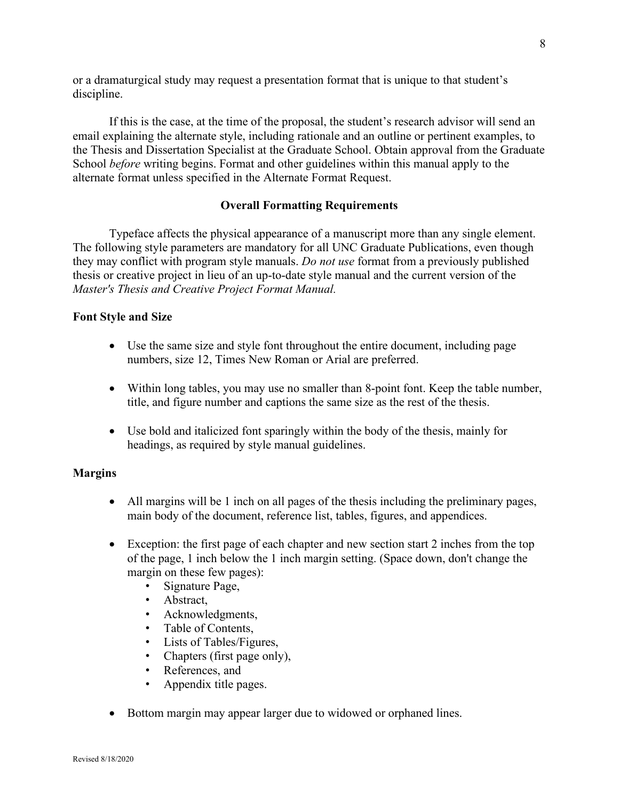or a dramaturgical study may request a presentation format that is unique to that student's discipline.

If this is the case, at the time of the proposal, the student's research advisor will send an email explaining the alternate style, including rationale and an outline or pertinent examples, to the Thesis and Dissertation Specialist at the Graduate School. Obtain approval from the Graduate School *before* writing begins. Format and other guidelines within this manual apply to the alternate format unless specified in the Alternate Format Request.

#### **Overall Formatting Requirements**

<span id="page-7-0"></span>Typeface affects the physical appearance of a manuscript more than any single element. The following style parameters are mandatory for all UNC Graduate Publications, even though they may conflict with program style manuals. *Do not use* format from a previously published thesis or creative project in lieu of an up-to-date style manual and the current version of the *Master's Thesis and Creative Project Format Manual.*

#### <span id="page-7-1"></span>**Font Style and Size**

- Use the same size and style font throughout the entire document, including page numbers, size 12, Times New Roman or Arial are preferred.
- Within long tables, you may use no smaller than 8-point font. Keep the table number, title, and figure number and captions the same size as the rest of the thesis.
- Use bold and italicized font sparingly within the body of the thesis, mainly for headings, as required by style manual guidelines.

#### <span id="page-7-2"></span>**Margins**

- All margins will be 1 inch on all pages of the thesis including the preliminary pages, main body of the document, reference list, tables, figures, and appendices.
- Exception: the first page of each chapter and new section start 2 inches from the top of the page, 1 inch below the 1 inch margin setting. (Space down, don't change the margin on these few pages):
	- Signature Page,
	- Abstract,
	- Acknowledgments,
	- Table of Contents,
	- Lists of Tables/Figures,
	- Chapters (first page only),
	- References, and
	- Appendix title pages.
- Bottom margin may appear larger due to widowed or orphaned lines.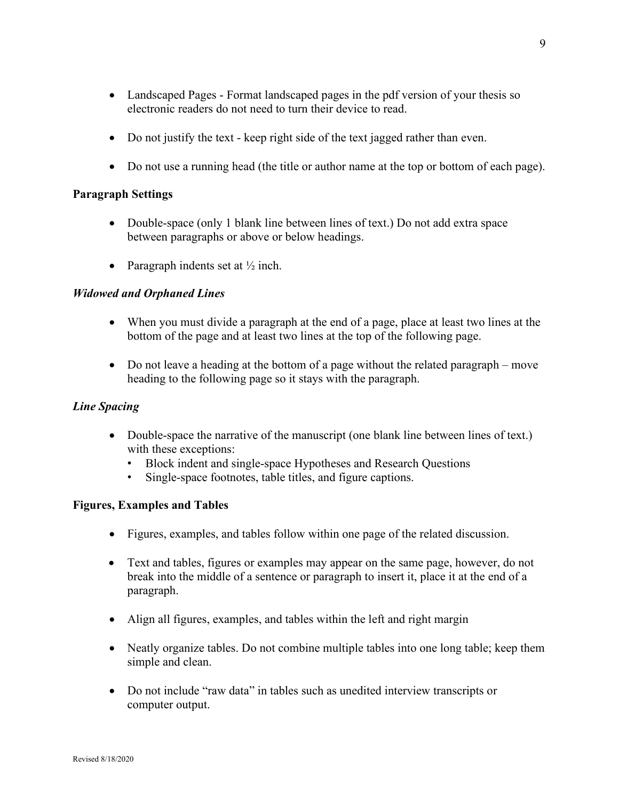- Do not justify the text keep right side of the text jagged rather than even.
- Do not use a running head (the title or author name at the top or bottom of each page).

### <span id="page-8-0"></span>**Paragraph Settings**

- Double-space (only 1 blank line between lines of text.) Do not add extra space between paragraphs or above or below headings.
- Paragraph indents set at  $\frac{1}{2}$  inch.

# <span id="page-8-1"></span>*Widowed and Orphaned Lines*

- When you must divide a paragraph at the end of a page, place at least two lines at the bottom of the page and at least two lines at the top of the following page.
- Do not leave a heading at the bottom of a page without the related paragraph move heading to the following page so it stays with the paragraph.

# <span id="page-8-2"></span>*Line Spacing*

- Double-space the narrative of the manuscript (one blank line between lines of text.) with these exceptions:
	- Block indent and single-space Hypotheses and Research Questions
	- Single-space footnotes, table titles, and figure captions.

### <span id="page-8-3"></span>**Figures, Examples and Tables**

- Figures, examples, and tables follow within one page of the related discussion.
- Text and tables, figures or examples may appear on the same page, however, do not break into the middle of a sentence or paragraph to insert it, place it at the end of a paragraph.
- Align all figures, examples, and tables within the left and right margin
- Neatly organize tables. Do not combine multiple tables into one long table; keep them simple and clean.
- Do not include "raw data" in tables such as unedited interview transcripts or computer output.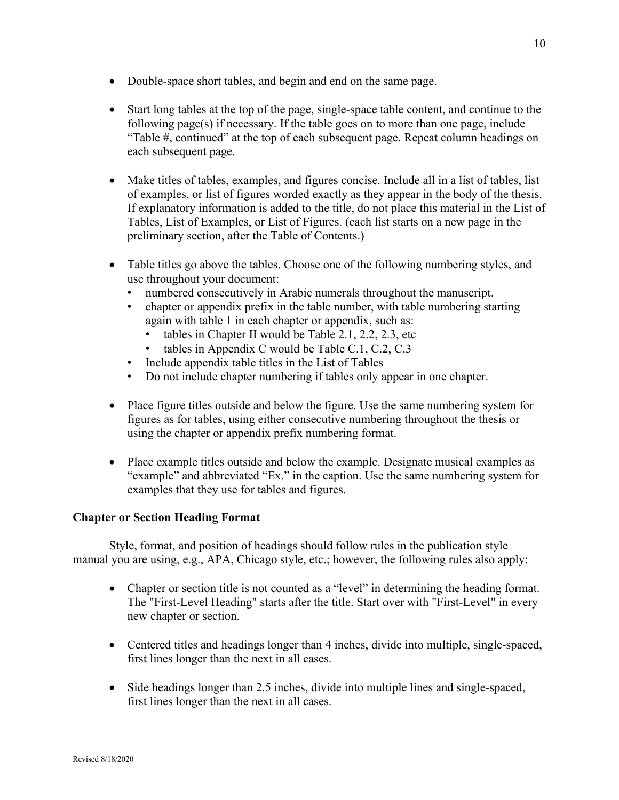- Double-space short tables, and begin and end on the same page.
- Start long tables at the top of the page, single-space table content, and continue to the following page(s) if necessary. If the table goes on to more than one page, include "Table #, continued" at the top of each subsequent page. Repeat column headings on each subsequent page.
- Make titles of tables, examples, and figures concise. Include all in a list of tables, list of examples, or list of figures worded exactly as they appear in the body of the thesis. If explanatory information is added to the title, do not place this material in the List of Tables, List of Examples, or List of Figures. (each list starts on a new page in the preliminary section, after the Table of Contents.)
- Table titles go above the tables. Choose one of the following numbering styles, and use throughout your document:
	- numbered consecutively in Arabic numerals throughout the manuscript.
	- chapter or appendix prefix in the table number, with table numbering starting again with table 1 in each chapter or appendix, such as:
		- tables in Chapter II would be Table 2.1, 2.2, 2.3, etc
		- tables in Appendix C would be Table C.1, C.2, C.3
	- Include appendix table titles in the List of Tables
	- Do not include chapter numbering if tables only appear in one chapter.
- Place figure titles outside and below the figure. Use the same numbering system for figures as for tables, using either consecutive numbering throughout the thesis or using the chapter or appendix prefix numbering format.
- Place example titles outside and below the example. Designate musical examples as "example" and abbreviated "Ex." in the caption. Use the same numbering system for examples that they use for tables and figures.

### <span id="page-9-0"></span>**Chapter or Section Heading Format**

Style, format, and position of headings should follow rules in the publication style manual you are using, e.g., APA, Chicago style, etc.; however, the following rules also apply:

- Chapter or section title is not counted as a "level" in determining the heading format. The "First-Level Heading" starts after the title. Start over with "First-Level" in every new chapter or section.
- Centered titles and headings longer than 4 inches, divide into multiple, single-spaced, first lines longer than the next in all cases.
- Side headings longer than 2.5 inches, divide into multiple lines and single-spaced, first lines longer than the next in all cases.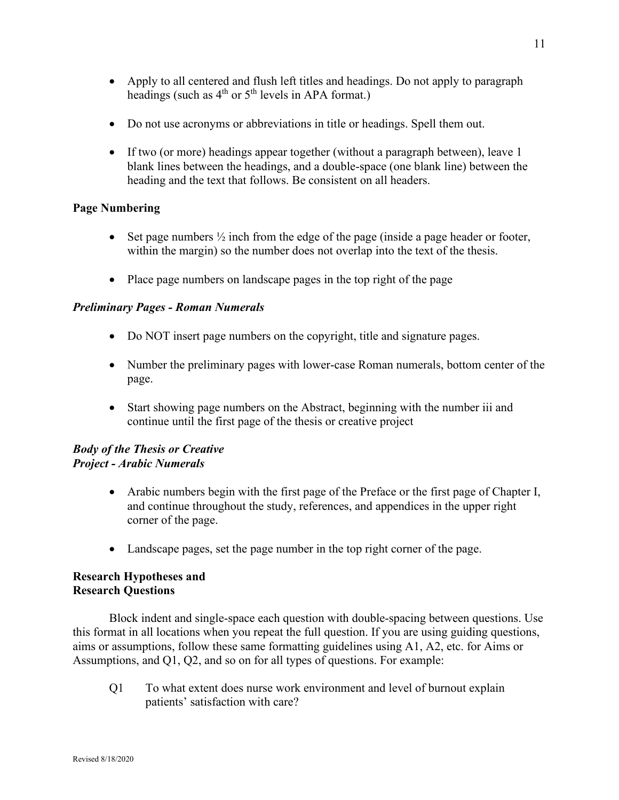- Do not use acronyms or abbreviations in title or headings. Spell them out.
- If two (or more) headings appear together (without a paragraph between), leave 1 blank lines between the headings, and a double-space (one blank line) between the heading and the text that follows. Be consistent on all headers.

# <span id="page-10-0"></span>**Page Numbering**

- Set page numbers  $\frac{1}{2}$  inch from the edge of the page (inside a page header or footer, within the margin) so the number does not overlap into the text of the thesis.
- Place page numbers on landscape pages in the top right of the page

# <span id="page-10-1"></span>*Preliminary Pages - Roman Numerals*

- Do NOT insert page numbers on the copyright, title and signature pages.
- Number the preliminary pages with lower-case Roman numerals, bottom center of the page.
- Start showing page numbers on the Abstract, beginning with the number iii and continue until the first page of the thesis or creative project

# <span id="page-10-3"></span><span id="page-10-2"></span>*Body of the Thesis or Creative Project - Arabic Numerals*

- Arabic numbers begin with the first page of the Preface or the first page of Chapter I, and continue throughout the study, references, and appendices in the upper right corner of the page.
- Landscape pages, set the page number in the top right corner of the page.

# <span id="page-10-5"></span><span id="page-10-4"></span>**Research Hypotheses and Research Questions**

Block indent and single-space each question with double-spacing between questions. Use this format in all locations when you repeat the full question. If you are using guiding questions, aims or assumptions, follow these same formatting guidelines using A1, A2, etc. for Aims or Assumptions, and Q1, Q2, and so on for all types of questions. For example:

Q1 To what extent does nurse work environment and level of burnout explain patients' satisfaction with care?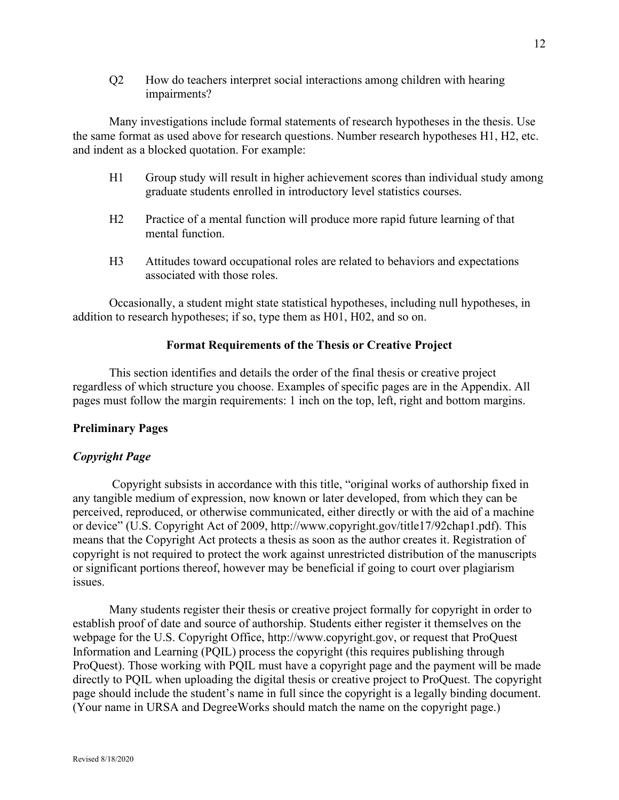Q2 How do teachers interpret social interactions among children with hearing impairments?

Many investigations include formal statements of research hypotheses in the thesis. Use the same format as used above for research questions. Number research hypotheses H1, H2, etc. and indent as a blocked quotation. For example:

- H1 Group study will result in higher achievement scores than individual study among graduate students enrolled in introductory level statistics courses.
- H2 Practice of a mental function will produce more rapid future learning of that mental function.
- H3 Attitudes toward occupational roles are related to behaviors and expectations associated with those roles.

Occasionally, a student might state statistical hypotheses, including null hypotheses, in addition to research hypotheses; if so, type them as H01, H02, and so on.

### **Format Requirements of the Thesis or Creative Project**

<span id="page-11-0"></span>This section identifies and details the order of the final thesis or creative project regardless of which structure you choose. Examples of specific pages are in the Appendix. All pages must follow the margin requirements: 1 inch on the top, left, right and bottom margins.

### <span id="page-11-1"></span>**Preliminary Pages**

### <span id="page-11-2"></span>*Copyright Page*

Copyright subsists in accordance with this title, "original works of authorship fixed in any tangible medium of expression, now known or later developed, from which they can be perceived, reproduced, or otherwise communicated, either directly or with the aid of a machine or device" (U.S. Copyright Act of 2009, http://www.copyright.gov/title17/92chap1.pdf). This means that the Copyright Act protects a thesis as soon as the author creates it. Registration of copyright is not required to protect the work against unrestricted distribution of the manuscripts or significant portions thereof, however may be beneficial if going to court over plagiarism issues.

Many students register their thesis or creative project formally for copyright in order to establish proof of date and source of authorship. Students either register it themselves on the webpage for the U.S. Copyright Office, http://www.copyright.gov, or request that ProQuest Information and Learning (PQIL) process the copyright (this requires publishing through ProQuest). Those working with PQIL must have a copyright page and the payment will be made directly to PQIL when uploading the digital thesis or creative project to ProQuest. The copyright page should include the student's name in full since the copyright is a legally binding document. (Your name in URSA and DegreeWorks should match the name on the copyright page.)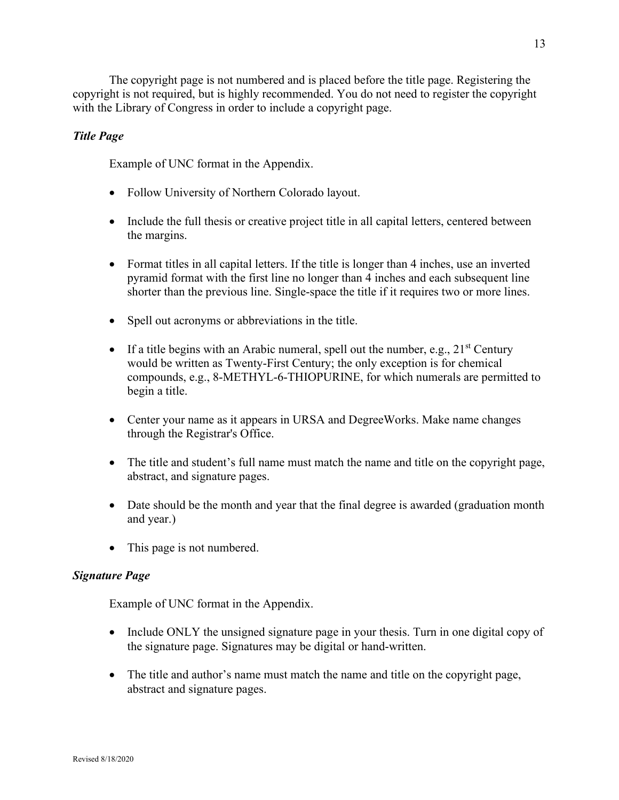The copyright page is not numbered and is placed before the title page. Registering the copyright is not required, but is highly recommended. You do not need to register the copyright with the Library of Congress in order to include a copyright page.

# <span id="page-12-0"></span>*Title Page*

Example of UNC format in the Appendix.

- Follow University of Northern Colorado layout.
- Include the full thesis or creative project title in all capital letters, centered between the margins.
- Format titles in all capital letters. If the title is longer than 4 inches, use an inverted pyramid format with the first line no longer than 4 inches and each subsequent line shorter than the previous line. Single-space the title if it requires two or more lines.
- Spell out acronyms or abbreviations in the title.
- If a title begins with an Arabic numeral, spell out the number, e.g.,  $21^{st}$  Century would be written as Twenty-First Century; the only exception is for chemical compounds, e.g., 8-METHYL-6-THIOPURINE, for which numerals are permitted to begin a title.
- Center your name as it appears in URSA and DegreeWorks. Make name changes through the Registrar's Office.
- The title and student's full name must match the name and title on the copyright page, abstract, and signature pages.
- Date should be the month and year that the final degree is awarded (graduation month and year.)
- This page is not numbered.

### <span id="page-12-1"></span>*Signature Page*

Example of UNC format in the Appendix.

- Include ONLY the unsigned signature page in your thesis. Turn in one digital copy of the signature page. Signatures may be digital or hand-written.
- The title and author's name must match the name and title on the copyright page, abstract and signature pages.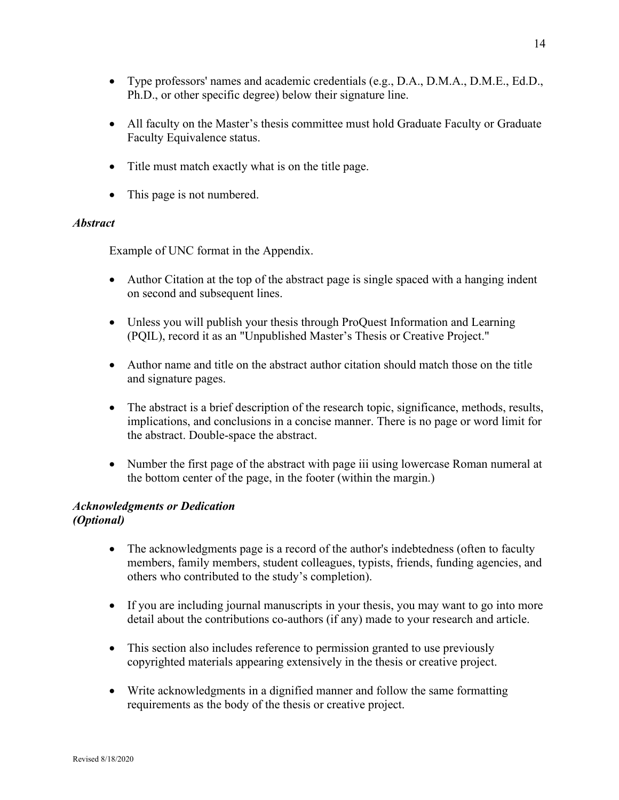- Type professors' names and academic credentials (e.g., D.A., D.M.A., D.M.E., Ed.D., Ph.D., or other specific degree) below their signature line.
- All faculty on the Master's thesis committee must hold Graduate Faculty or Graduate Faculty Equivalence status.
- Title must match exactly what is on the title page.
- This page is not numbered.

# <span id="page-13-0"></span>*Abstract*

Example of UNC format in the Appendix.

- Author Citation at the top of the abstract page is single spaced with a hanging indent on second and subsequent lines.
- Unless you will publish your thesis through ProQuest Information and Learning (PQIL), record it as an "Unpublished Master's Thesis or Creative Project."
- Author name and title on the abstract author citation should match those on the title and signature pages.
- The abstract is a brief description of the research topic, significance, methods, results, implications, and conclusions in a concise manner. There is no page or word limit for the abstract. Double-space the abstract.
- Number the first page of the abstract with page iii using lowercase Roman numeral at the bottom center of the page, in the footer (within the margin.)

#### <span id="page-13-2"></span><span id="page-13-1"></span>*Acknowledgments or Dedication (Optional)*

- The acknowledgments page is a record of the author's indebtedness (often to faculty members, family members, student colleagues, typists, friends, funding agencies, and others who contributed to the study's completion).
- If you are including journal manuscripts in your thesis, you may want to go into more detail about the contributions co-authors (if any) made to your research and article.
- This section also includes reference to permission granted to use previously copyrighted materials appearing extensively in the thesis or creative project.
- Write acknowledgments in a dignified manner and follow the same formatting requirements as the body of the thesis or creative project.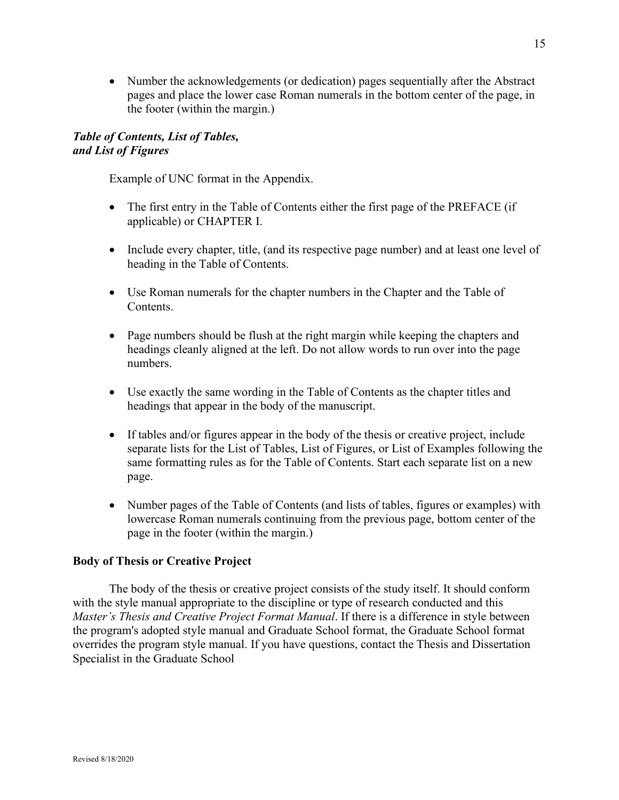• Number the acknowledgements (or dedication) pages sequentially after the Abstract pages and place the lower case Roman numerals in the bottom center of the page, in the footer (within the margin.)

# <span id="page-14-1"></span><span id="page-14-0"></span>*Table of Contents, List of Tables, and List of Figures*

Example of UNC format in the Appendix.

- The first entry in the Table of Contents either the first page of the PREFACE (if applicable) or CHAPTER I.
- Include every chapter, title, (and its respective page number) and at least one level of heading in the Table of Contents.
- Use Roman numerals for the chapter numbers in the Chapter and the Table of Contents.
- Page numbers should be flush at the right margin while keeping the chapters and headings cleanly aligned at the left. Do not allow words to run over into the page numbers.
- Use exactly the same wording in the Table of Contents as the chapter titles and headings that appear in the body of the manuscript.
- If tables and/or figures appear in the body of the thesis or creative project, include separate lists for the List of Tables, List of Figures, or List of Examples following the same formatting rules as for the Table of Contents. Start each separate list on a new page.
- Number pages of the Table of Contents (and lists of tables, figures or examples) with lowercase Roman numerals continuing from the previous page, bottom center of the page in the footer (within the margin.)

# <span id="page-14-2"></span>**Body of Thesis or Creative Project**

The body of the thesis or creative project consists of the study itself. It should conform with the style manual appropriate to the discipline or type of research conducted and this *Master's Thesis and Creative Project Format Manual*. If there is a difference in style between the program's adopted style manual and Graduate School format, the Graduate School format overrides the program style manual. If you have questions, contact the Thesis and Dissertation Specialist in the Graduate School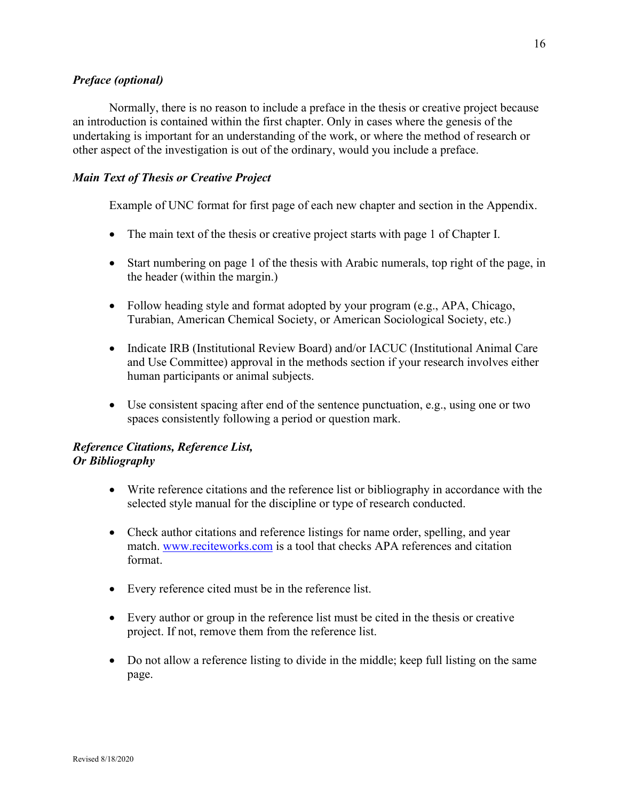## <span id="page-15-0"></span>*Preface (optional)*

Normally, there is no reason to include a preface in the thesis or creative project because an introduction is contained within the first chapter. Only in cases where the genesis of the undertaking is important for an understanding of the work, or where the method of research or other aspect of the investigation is out of the ordinary, would you include a preface.

# <span id="page-15-1"></span>*Main Text of Thesis or Creative Project*

Example of UNC format for first page of each new chapter and section in the Appendix.

- The main text of the thesis or creative project starts with page 1 of Chapter I.
- Start numbering on page 1 of the thesis with Arabic numerals, top right of the page, in the header (within the margin.)
- Follow heading style and format adopted by your program (e.g., APA, Chicago, Turabian, American Chemical Society, or American Sociological Society, etc.)
- Indicate IRB (Institutional Review Board) and/or IACUC (Institutional Animal Care and Use Committee) approval in the methods section if your research involves either human participants or animal subjects.
- Use consistent spacing after end of the sentence punctuation, e.g., using one or two spaces consistently following a period or question mark.

# <span id="page-15-3"></span><span id="page-15-2"></span>*Reference Citations, Reference List, Or Bibliography*

- Write reference citations and the reference list or bibliography in accordance with the selected style manual for the discipline or type of research conducted.
- Check author citations and reference listings for name order, spelling, and year match. [www.reciteworks.com](http://www.reciteworks.com/) is a tool that checks APA references and citation format.
- Every reference cited must be in the reference list.
- Every author or group in the reference list must be cited in the thesis or creative project. If not, remove them from the reference list.
- Do not allow a reference listing to divide in the middle; keep full listing on the same page.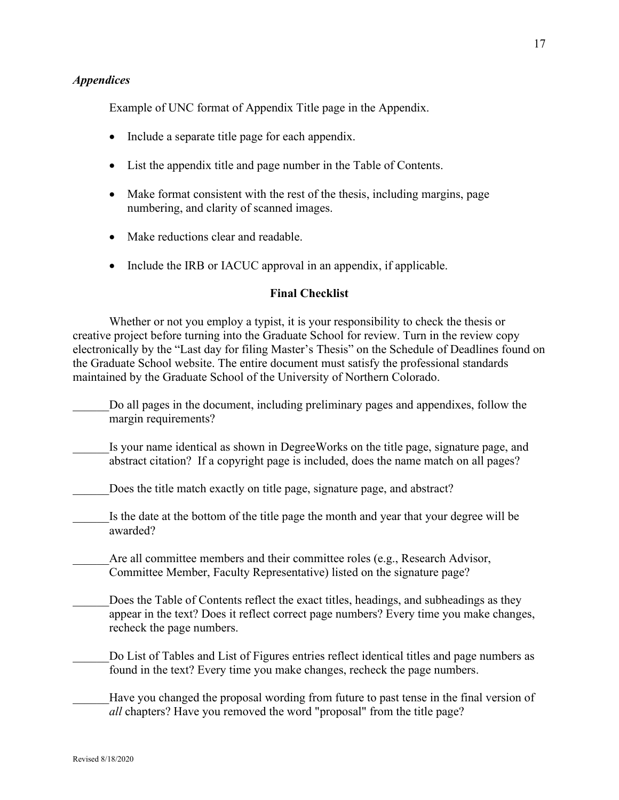#### <span id="page-16-0"></span>*Appendices*

Example of UNC format of Appendix Title page in the Appendix.

- Include a separate title page for each appendix.
- List the appendix title and page number in the Table of Contents.
- Make format consistent with the rest of the thesis, including margins, page numbering, and clarity of scanned images.
- Make reductions clear and readable.
- Include the IRB or IACUC approval in an appendix, if applicable.

#### **Final Checklist**

<span id="page-16-1"></span>Whether or not you employ a typist, it is your responsibility to check the thesis or creative project before turning into the Graduate School for review. Turn in the review copy electronically by the "Last day for filing Master's Thesis" on the Schedule of Deadlines found on the Graduate School website. The entire document must satisfy the professional standards maintained by the Graduate School of the University of Northern Colorado.

- Do all pages in the document, including preliminary pages and appendixes, follow the margin requirements?
- Is your name identical as shown in DegreeWorks on the title page, signature page, and abstract citation? If a copyright page is included, does the name match on all pages?
	- Does the title match exactly on title page, signature page, and abstract?
	- Is the date at the bottom of the title page the month and year that your degree will be awarded?

Are all committee members and their committee roles (e.g., Research Advisor, Committee Member, Faculty Representative) listed on the signature page?

Does the Table of Contents reflect the exact titles, headings, and subheadings as they appear in the text? Does it reflect correct page numbers? Every time you make changes, recheck the page numbers.

Do List of Tables and List of Figures entries reflect identical titles and page numbers as found in the text? Every time you make changes, recheck the page numbers.

Have you changed the proposal wording from future to past tense in the final version of *all* chapters? Have you removed the word "proposal" from the title page?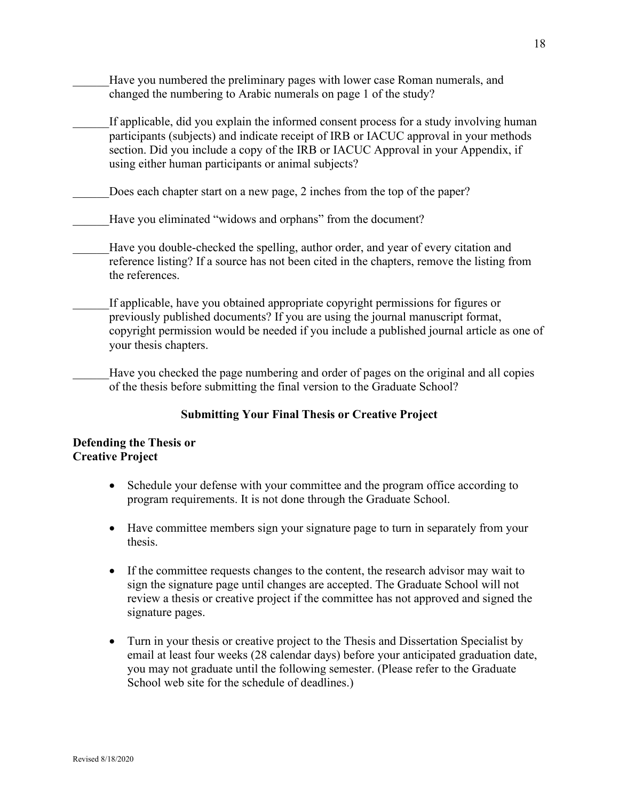- Have you numbered the preliminary pages with lower case Roman numerals, and changed the numbering to Arabic numerals on page 1 of the study?
- If applicable, did you explain the informed consent process for a study involving human participants (subjects) and indicate receipt of IRB or IACUC approval in your methods section. Did you include a copy of the IRB or IACUC Approval in your Appendix, if using either human participants or animal subjects?
- Does each chapter start on a new page, 2 inches from the top of the paper?
	- Have you eliminated "widows and orphans" from the document?
- Have you double-checked the spelling, author order, and year of every citation and reference listing? If a source has not been cited in the chapters, remove the listing from the references.
- If applicable, have you obtained appropriate copyright permissions for figures or previously published documents? If you are using the journal manuscript format, copyright permission would be needed if you include a published journal article as one of your thesis chapters.
- Have you checked the page numbering and order of pages on the original and all copies of the thesis before submitting the final version to the Graduate School?

#### **Submitting Your Final Thesis or Creative Project**

### **Defending the Thesis or Creative Project**

- Schedule your defense with your committee and the program office according to program requirements. It is not done through the Graduate School.
- Have committee members sign your signature page to turn in separately from your thesis.
- If the committee requests changes to the content, the research advisor may wait to sign the signature page until changes are accepted. The Graduate School will not review a thesis or creative project if the committee has not approved and signed the signature pages.
- Turn in your thesis or creative project to the Thesis and Dissertation Specialist by email at least four weeks (28 calendar days) before your anticipated graduation date, you may not graduate until the following semester. (Please refer to the Graduate School web site for the schedule of deadlines.)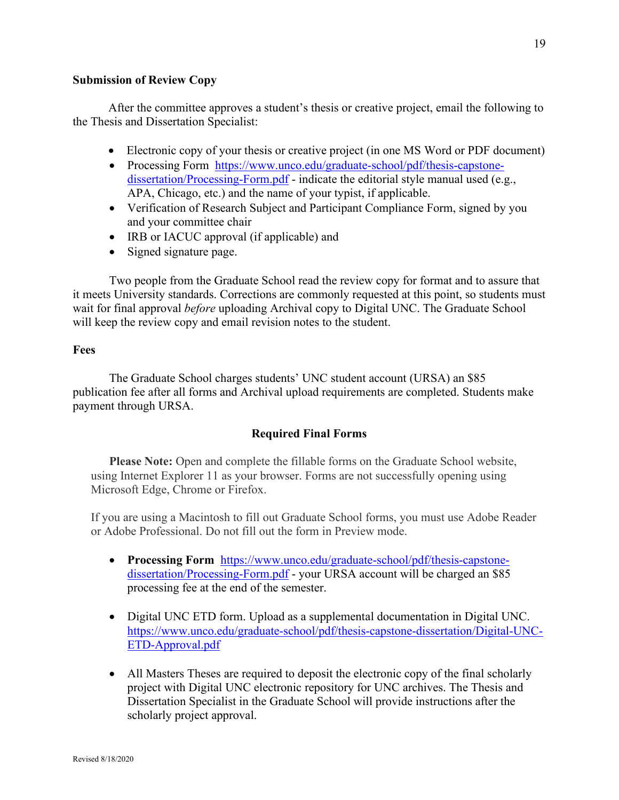#### <span id="page-18-0"></span>**Submission of Review Copy**

After the committee approves a student's thesis or creative project, email the following to the Thesis and Dissertation Specialist:

- Electronic copy of your thesis or creative project (in one MS Word or PDF document)
- Processing Form [https://www.unco.edu/graduate-school/pdf/thesis-capstone](https://www.unco.edu/graduate-school/pdf/thesis-capstone-dissertation/Processing-Form.pdf)[dissertation/Processing-Form.pdf](https://www.unco.edu/graduate-school/pdf/thesis-capstone-dissertation/Processing-Form.pdf) - indicate the editorial style manual used (e.g., APA, Chicago, etc.) and the name of your typist, if applicable.
- Verification of Research Subject and Participant Compliance Form, signed by you and your committee chair
- IRB or IACUC approval (if applicable) and
- Signed signature page.

Two people from the Graduate School read the review copy for format and to assure that it meets University standards. Corrections are commonly requested at this point, so students must wait for final approval *before* uploading Archival copy to Digital UNC. The Graduate School will keep the review copy and email revision notes to the student.

### <span id="page-18-1"></span>**Fees**

The Graduate School charges students' UNC student account (URSA) an \$85 publication fee after all forms and Archival upload requirements are completed. Students make payment through URSA.

# **Required Final Forms**

**Please Note:** Open and complete the fillable forms on the Graduate School website, using Internet Explorer 11 as your browser. Forms are not successfully opening using Microsoft Edge, Chrome or Firefox.

If you are using a Macintosh to fill out Graduate School forms, you must use Adobe Reader or Adobe Professional. Do not fill out the form in Preview mode.

- **Processing Form** [https://www.unco.edu/graduate-school/pdf/thesis-capstone](https://www.unco.edu/graduate-school/pdf/thesis-capstone-dissertation/Processing-Form.pdf)[dissertation/Processing-Form.pdf](https://www.unco.edu/graduate-school/pdf/thesis-capstone-dissertation/Processing-Form.pdf) - your URSA account will be charged an \$85 processing fee at the end of the semester.
- Digital UNC ETD form. Upload as a supplemental documentation in Digital UNC. [https://www.unco.edu/graduate-school/pdf/thesis-capstone-dissertation/Digital-UNC-](https://www.unco.edu/graduate-school/pdf/thesis-capstone-dissertation/Digital-UNC-ETD-Approval.pdf)[ETD-Approval.pdf](https://www.unco.edu/graduate-school/pdf/thesis-capstone-dissertation/Digital-UNC-ETD-Approval.pdf)
- All Masters Theses are required to deposit the electronic copy of the final scholarly project with Digital UNC electronic repository for UNC archives. The Thesis and Dissertation Specialist in the Graduate School will provide instructions after the scholarly project approval.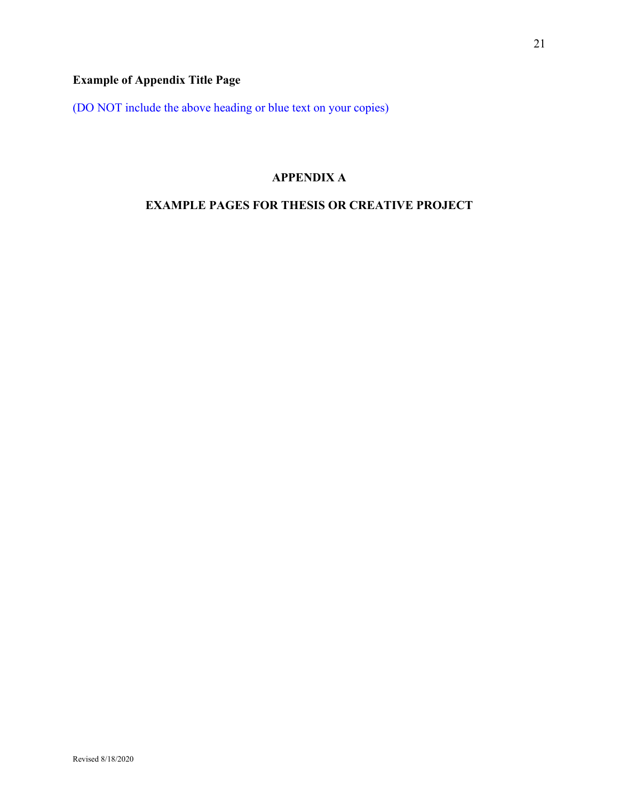# <span id="page-20-0"></span>**Example of Appendix Title Page**

<span id="page-20-1"></span>(DO NOT include the above heading or blue text on your copies)

# **APPENDIX A**

# <span id="page-20-2"></span>**EXAMPLE PAGES FOR THESIS OR CREATIVE PROJECT**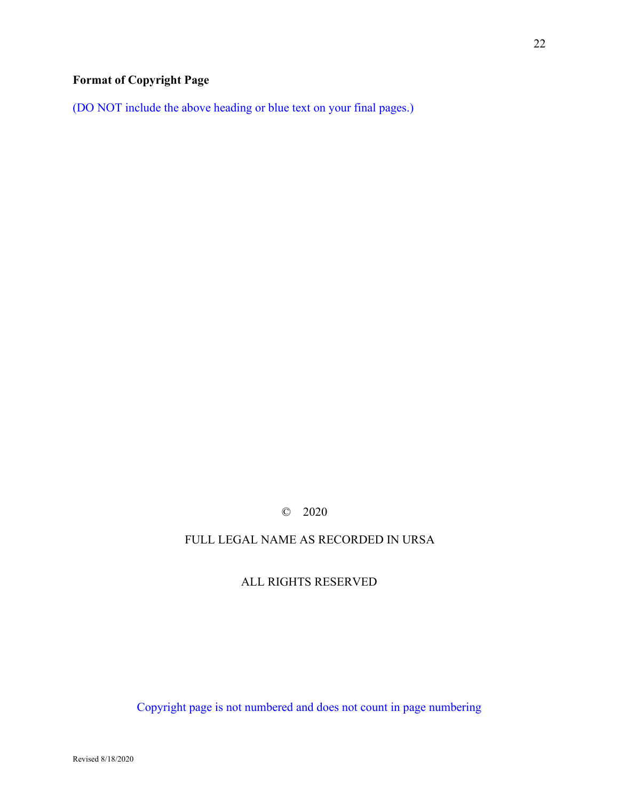# <span id="page-21-0"></span>**Format of Copyright Page**

(DO NOT include the above heading or blue text on your final pages.)

# © 2020

# FULL LEGAL NAME AS RECORDED IN URSA

# ALL RIGHTS RESERVED

Copyright page is not numbered and does not count in page numbering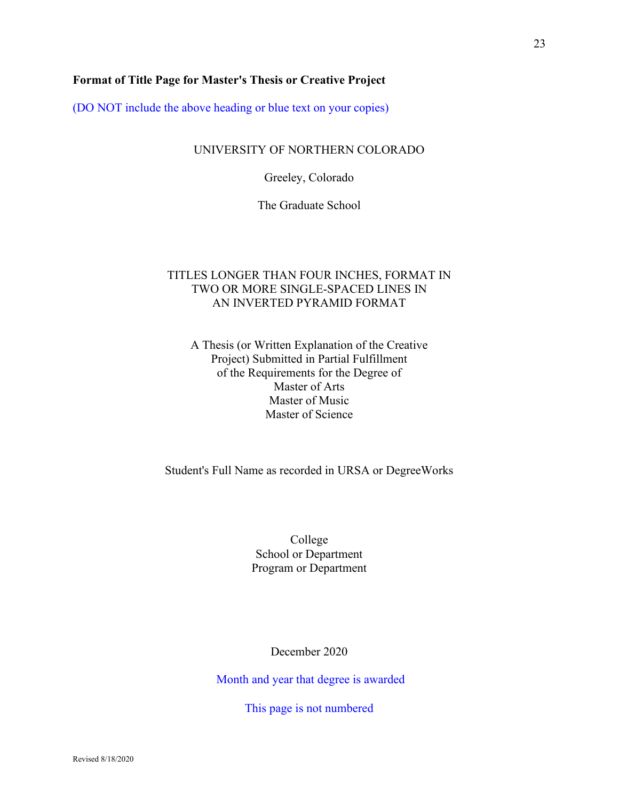### <span id="page-22-0"></span>**Format of Title Page for Master's Thesis or Creative Project**

(DO NOT include the above heading or blue text on your copies)

### UNIVERSITY OF NORTHERN COLORADO

Greeley, Colorado

The Graduate School

# TITLES LONGER THAN FOUR INCHES, FORMAT IN TWO OR MORE SINGLE-SPACED LINES IN AN INVERTED PYRAMID FORMAT

A Thesis (or Written Explanation of the Creative Project) Submitted in Partial Fulfillment of the Requirements for the Degree of Master of Arts Master of Music Master of Science

Student's Full Name as recorded in URSA or DegreeWorks

College School or Department Program or Department

December 2020

Month and year that degree is awarded

This page is not numbered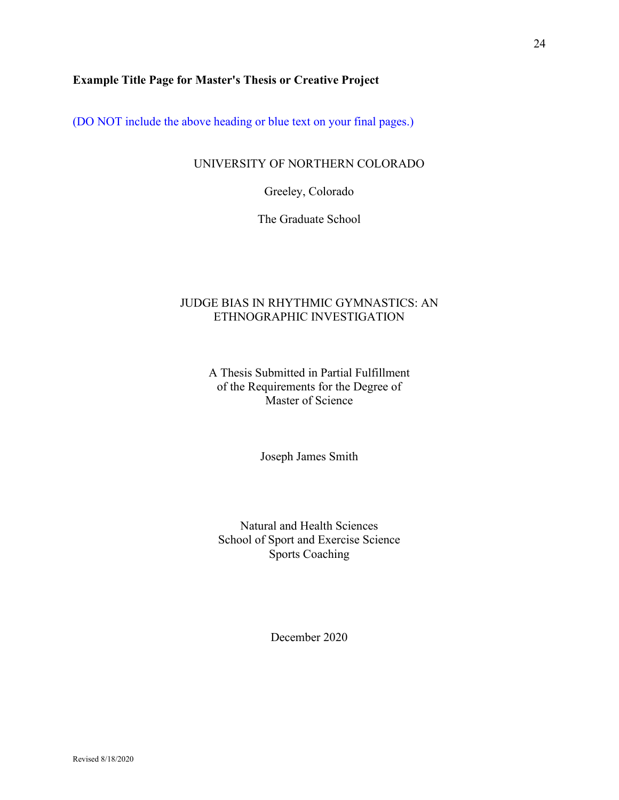# <span id="page-23-0"></span>**Example Title Page for Master's Thesis or Creative Project**

(DO NOT include the above heading or blue text on your final pages.)

#### UNIVERSITY OF NORTHERN COLORADO

Greeley, Colorado

The Graduate School

# JUDGE BIAS IN RHYTHMIC GYMNASTICS: AN ETHNOGRAPHIC INVESTIGATION

A Thesis Submitted in Partial Fulfillment of the Requirements for the Degree of Master of Science

Joseph James Smith

Natural and Health Sciences School of Sport and Exercise Science Sports Coaching

December 2020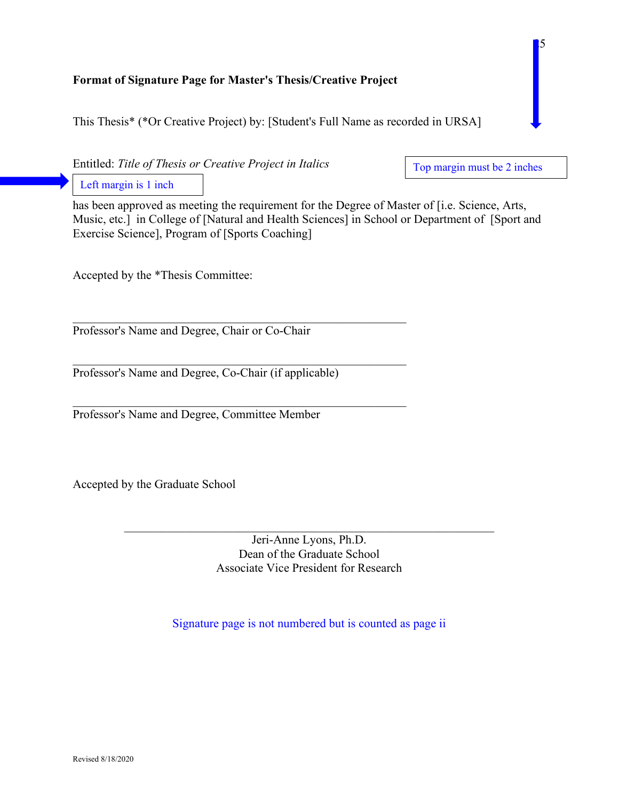# <span id="page-24-0"></span>**Format of Signature Page for Master's Thesis/Creative Project**

This Thesis\* (\*Or Creative Project) by: [Student's Full Name as recorded in URSA]

Entitled: *Title of Thesis or Creative Project in Italics*

Top margin must be 2 inches

 $\blacksquare$ 5

Left margin is 1 inch

has been approved as meeting the requirement for the Degree of Master of [i.e. Science, Arts, Music, etc.] in College of [Natural and Health Sciences] in School or Department of [\[Sport](http://www.unco.edu/cebs/erlt/) and Exercise Science], Program of [Sports Coaching]

Accepted by the \*Thesis Committee:

Professor's Name and Degree, Chair or Co-Chair

Professor's Name and Degree, Co-Chair (if applicable)

\_\_\_\_\_\_\_\_\_\_\_\_\_\_\_\_\_\_\_\_\_\_\_\_\_\_\_\_\_\_\_\_\_\_\_\_\_\_\_\_\_\_\_\_\_\_\_\_\_\_\_\_\_\_\_

\_\_\_\_\_\_\_\_\_\_\_\_\_\_\_\_\_\_\_\_\_\_\_\_\_\_\_\_\_\_\_\_\_\_\_\_\_\_\_\_\_\_\_\_\_\_\_\_\_\_\_\_\_\_\_

Professor's Name and Degree, Committee Member

Accepted by the Graduate School

Jeri-Anne Lyons, Ph.D. Dean of the Graduate School Associate Vice President for Research

Signature page is not numbered but is counted as page ii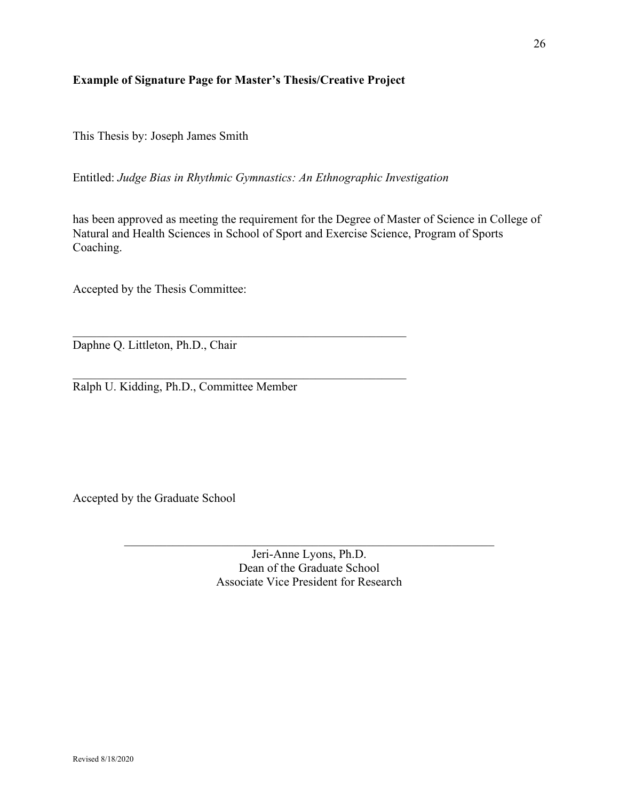# <span id="page-25-0"></span>**Example of Signature Page for Master's Thesis/Creative Project**

This Thesis by: Joseph James Smith

Entitled: *Judge Bias in Rhythmic Gymnastics: An Ethnographic Investigation*

has been approved as meeting the requirement for the Degree of Master of Science in College of Natural and Health Sciences in School of Sport and Exercise Science, Program of Sports Coaching.

Accepted by the Thesis Committee:

\_\_\_\_\_\_\_\_\_\_\_\_\_\_\_\_\_\_\_\_\_\_\_\_\_\_\_\_\_\_\_\_\_\_\_\_\_\_\_\_\_\_\_\_\_\_\_\_\_\_\_\_\_\_\_ Daphne Q. Littleton, Ph.D., Chair

Ralph U. Kidding, Ph.D., Committee Member

 $\mathcal{L}_\text{max} = \mathcal{L}_\text{max} = \mathcal{L}_\text{max} = \mathcal{L}_\text{max} = \mathcal{L}_\text{max} = \mathcal{L}_\text{max} = \mathcal{L}_\text{max} = \mathcal{L}_\text{max} = \mathcal{L}_\text{max} = \mathcal{L}_\text{max} = \mathcal{L}_\text{max} = \mathcal{L}_\text{max} = \mathcal{L}_\text{max} = \mathcal{L}_\text{max} = \mathcal{L}_\text{max} = \mathcal{L}_\text{max} = \mathcal{L}_\text{max} = \mathcal{L}_\text{max} = \mathcal{$ 

Accepted by the Graduate School

Jeri-Anne Lyons, Ph.D. Dean of the Graduate School Associate Vice President for Research

\_\_\_\_\_\_\_\_\_\_\_\_\_\_\_\_\_\_\_\_\_\_\_\_\_\_\_\_\_\_\_\_\_\_\_\_\_\_\_\_\_\_\_\_\_\_\_\_\_\_\_\_\_\_\_\_\_\_\_\_\_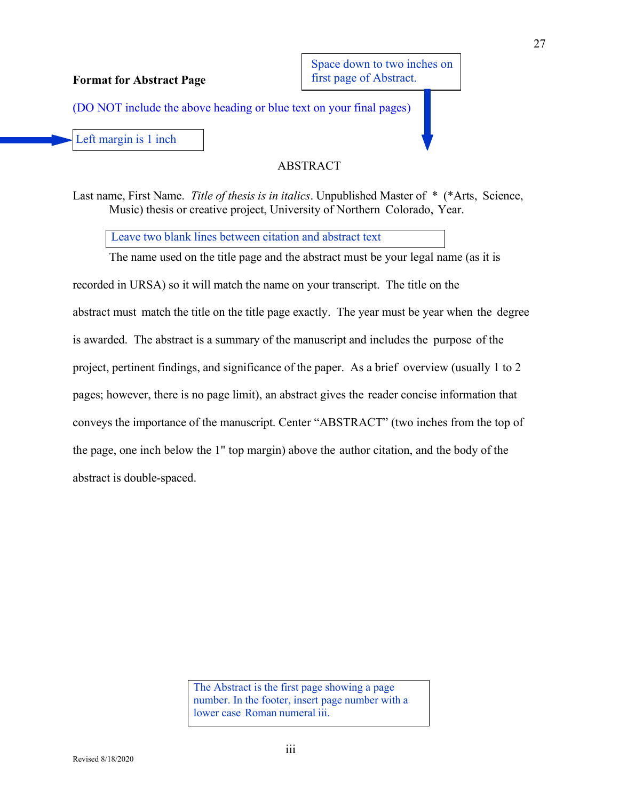Space down to two inches on first page of Abstract.

(DO NOT include the above heading or blue text on your final pages)

Left margin is 1 inch

<span id="page-26-0"></span>**Format for Abstract Page**

# **ABSTRACT**

Last name, First Name. *Title of thesis is in italics*. Unpublished Master of \* (\*Arts, Science, Music) thesis or creative project, University of Northern Colorado, Year.

Leave two blank lines between citation and abstract text

The name used on the title page and the abstract must be your legal name (as it is recorded in URSA) so it will match the name on your transcript. The title on the abstract must match the title on the title page exactly. The year must be year when the degree is awarded. The abstract is a summary of the manuscript and includes the purpose of the project, pertinent findings, and significance of the paper. As a brief overview (usually 1 to 2 pages; however, there is no page limit), an abstract gives the reader concise information that conveys the importance of the manuscript. Center "ABSTRACT" (two inches from the top of the page, one inch below the 1" top margin) above the author citation, and the body of the abstract is double-spaced.

> The Abstract is the first page showing a page number. In the footer, insert page number with a lower case Roman numeral iii.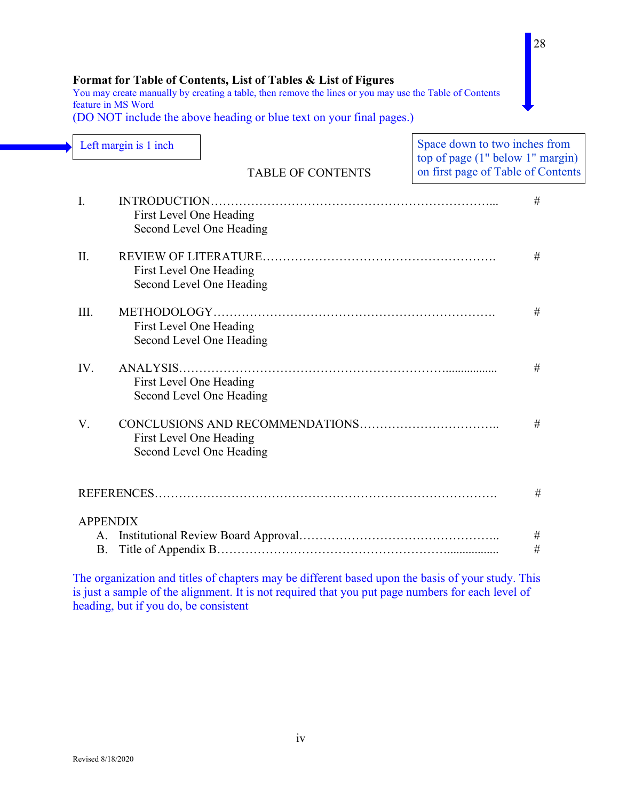# <span id="page-27-0"></span>**Format for Table of Contents, List of Tables & List of Figures**

You may create manually by creating a table, then remove the lines or you may use the Table of Contents feature in MS Word

(DO NOT include the above heading or blue text on your final pages.)

| Left margin is 1 inch                                           |                                     |                                                                                                   | Space down to two inches from<br>top of page (1" below 1" margin) |  |
|-----------------------------------------------------------------|-------------------------------------|---------------------------------------------------------------------------------------------------|-------------------------------------------------------------------|--|
|                                                                 |                                     | <b>TABLE OF CONTENTS</b>                                                                          | on first page of Table of Contents                                |  |
| I.<br>First Level One Heading<br>Second Level One Heading       |                                     |                                                                                                   |                                                                   |  |
| II.<br>#<br>First Level One Heading<br>Second Level One Heading |                                     |                                                                                                   |                                                                   |  |
| III.                                                            | First Level One Heading             | Second Level One Heading                                                                          | $\#$                                                              |  |
| IV.                                                             | ANALYSIS<br>First Level One Heading | Second Level One Heading                                                                          | #                                                                 |  |
| V.                                                              | First Level One Heading             | Second Level One Heading                                                                          | #                                                                 |  |
|                                                                 |                                     |                                                                                                   | #                                                                 |  |
| <b>APPENDIX</b><br>A.<br><b>B.</b>                              |                                     |                                                                                                   | $\#$<br>#                                                         |  |
|                                                                 |                                     | The organization and titles of chapters may be different based upon the basis of your study. This |                                                                   |  |

is just a sample of the alignment. It is not required that you put page numbers for each level of heading, but if you do, be consistent

28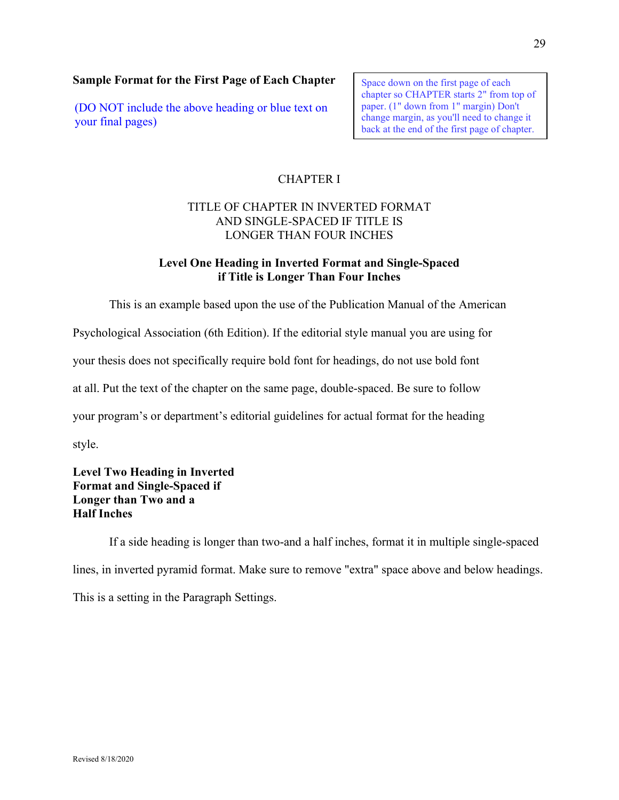# <span id="page-28-0"></span>**Sample Format for the First Page of Each Chapter**

(DO NOT include the above heading or blue text on your final pages)

Space down on the first page of each chapter so CHAPTER starts 2" from top of paper. (1" down from 1" margin) Don't change margin, as you'll need to change it back at the end of the first page of chapter.

# CHAPTER I

# TITLE OF CHAPTER IN INVERTED FORMAT AND SINGLE-SPACED IF TITLE IS LONGER THAN FOUR INCHES

# **Level One Heading in Inverted Format and Single-Spaced if Title is Longer Than Four Inches**

This is an example based upon the use of the Publication Manual of the American

Psychological Association (6th Edition). If the editorial style manual you are using for

your thesis does not specifically require bold font for headings, do not use bold font

at all. Put the text of the chapter on the same page, double-spaced. Be sure to follow

your program's or department's editorial guidelines for actual format for the heading

style.

# **Level Two Heading in Inverted Format and Single-Spaced if Longer than Two and a Half Inches**

If a side heading is longer than two-and a half inches, format it in multiple single-spaced lines, in inverted pyramid format. Make sure to remove "extra" space above and below headings. This is a setting in the Paragraph Settings.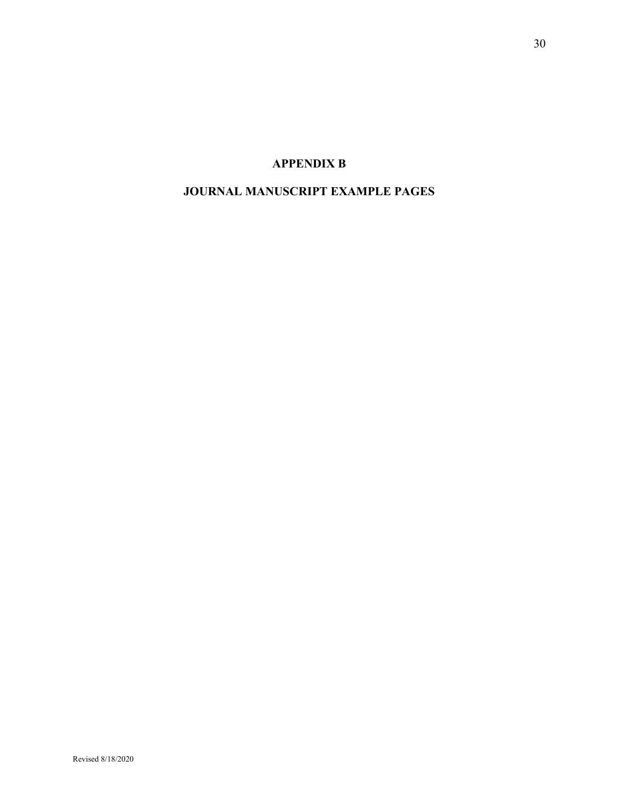# **APPENDIX B**

# <span id="page-29-1"></span><span id="page-29-0"></span>**JOURNAL MANUSCRIPT EXAMPLE PAGES**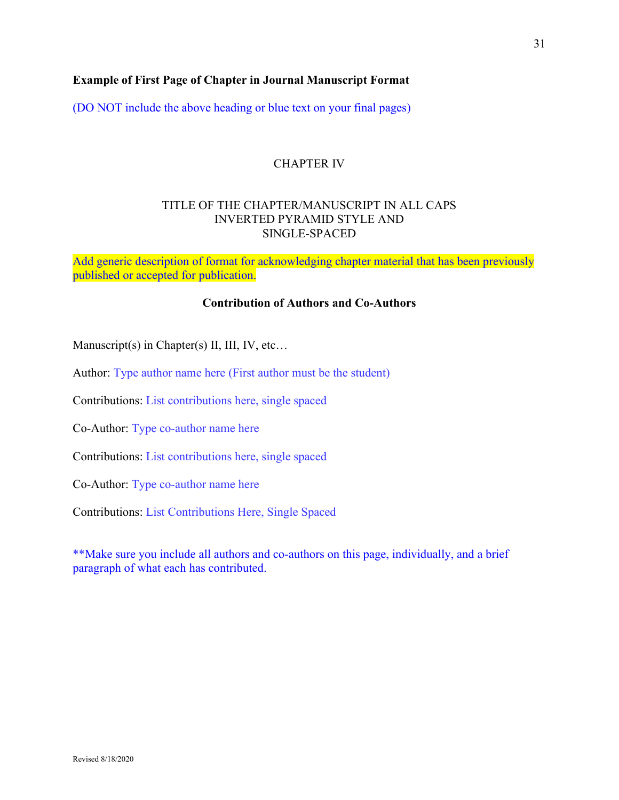# <span id="page-30-0"></span>**Example of First Page of Chapter in Journal Manuscript Format**

(DO NOT include the above heading or blue text on your final pages)

# CHAPTER IV

# TITLE OF THE CHAPTER/MANUSCRIPT IN ALL CAPS INVERTED PYRAMID STYLE AND SINGLE-SPACED

Add generic description of format for acknowledging chapter material that has been previously published or accepted for publication.

#### **Contribution of Authors and Co-Authors**

Manuscript(s) in Chapter(s) II, III, IV, etc...

Author: Type author name here (First author must be the student)

Contributions: List contributions here, single spaced

Co-Author: Type co-author name here

Contributions: List contributions here, single spaced

Co-Author: Type co-author name here

Contributions: List Contributions Here, Single Spaced

\*\*Make sure you include all authors and co-authors on this page, individually, and a brief paragraph of what each has contributed.